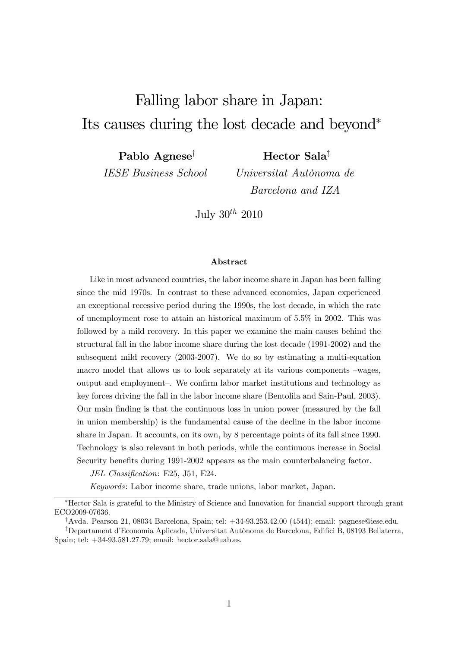# Falling labor share in Japan: Its causes during the lost decade and beyond<sup>∗</sup>

Pablo Agnese<sup>†</sup>

IESE Business School

Hector Sala‡

Universitat Autònoma de Barcelona and IZA

July  $30^{th}$  2010

#### Abstract

Like in most advanced countries, the labor income share in Japan has been falling since the mid 1970s. In contrast to these advanced economies, Japan experienced an exceptional recessive period during the 1990s, the lost decade, in which the rate of unemployment rose to attain an historical maximum of 5.5% in 2002. This was followed by a mild recovery. In this paper we examine the main causes behind the structural fall in the labor income share during the lost decade (1991-2002) and the subsequent mild recovery (2003-2007). We do so by estimating a multi-equation macro model that allows us to look separately at its various components —wages, output and employment—. We confirm labor market institutions and technology as key forces driving the fall in the labor income share (Bentolila and Sain-Paul, 2003). Our main finding is that the continuous loss in union power (measured by the fall in union membership) is the fundamental cause of the decline in the labor income share in Japan. It accounts, on its own, by 8 percentage points of its fall since 1990. Technology is also relevant in both periods, while the continuous increase in Social Security benefits during 1991-2002 appears as the main counterbalancing factor.

JEL Classification: E25, J51, E24.

Keywords: Labor income share, trade unions, labor market, Japan.

<sup>∗</sup>Hector Sala is grateful to the Ministry of Science and Innovation for financial support through grant ECO2009-07636.

<sup>†</sup>Avda. Pearson 21, 08034 Barcelona, Spain; tel: +34-93.253.42.00 (4544); email: pagnese@iese.edu.

<sup>‡</sup>Departament d'Economia Aplicada, Universitat Autònoma de Barcelona, Edifici B, 08193 Bellaterra, Spain; tel: +34-93.581.27.79; email: hector.sala@uab.es.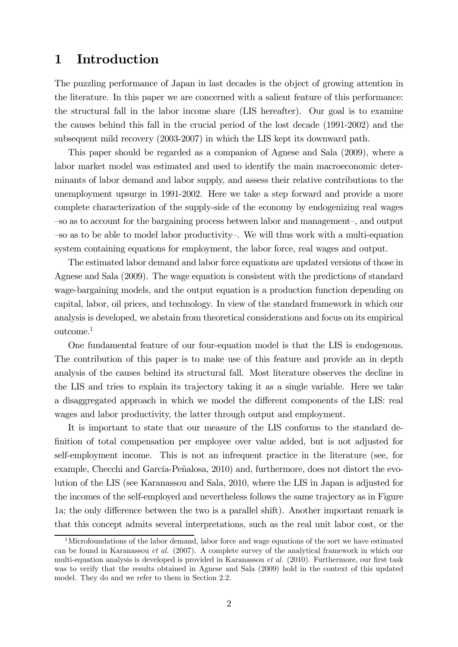### 1 Introduction

The puzzling performance of Japan in last decades is the object of growing attention in the literature. In this paper we are concerned with a salient feature of this performance: the structural fall in the labor income share (LIS hereafter). Our goal is to examine the causes behind this fall in the crucial period of the lost decade (1991-2002) and the subsequent mild recovery (2003-2007) in which the LIS kept its downward path.

This paper should be regarded as a companion of Agnese and Sala (2009), where a labor market model was estimated and used to identify the main macroeconomic determinants of labor demand and labor supply, and assess their relative contributions to the unemployment upsurge in 1991-2002. Here we take a step forward and provide a more complete characterization of the supply-side of the economy by endogenizing real wages —so as to account for the bargaining process between labor and management—, and output —so as to be able to model labor productivity—. We will thus work with a multi-equation system containing equations for employment, the labor force, real wages and output.

The estimated labor demand and labor force equations are updated versions of those in Agnese and Sala (2009). The wage equation is consistent with the predictions of standard wage-bargaining models, and the output equation is a production function depending on capital, labor, oil prices, and technology. In view of the standard framework in which our analysis is developed, we abstain from theoretical considerations and focus on its empirical outcome.1

One fundamental feature of our four-equation model is that the LIS is endogenous. The contribution of this paper is to make use of this feature and provide an in depth analysis of the causes behind its structural fall. Most literature observes the decline in the LIS and tries to explain its trajectory taking it as a single variable. Here we take a disaggregated approach in which we model the different components of the LIS: real wages and labor productivity, the latter through output and employment.

It is important to state that our measure of the LIS conforms to the standard definition of total compensation per employee over value added, but is not adjusted for self-employment income. This is not an infrequent practice in the literature (see, for example, Checchi and García-Peñalosa, 2010) and, furthermore, does not distort the evolution of the LIS (see Karanassou and Sala, 2010, where the LIS in Japan is adjusted for the incomes of the self-employed and nevertheless follows the same trajectory as in Figure 1a; the only difference between the two is a parallel shift). Another important remark is that this concept admits several interpretations, such as the real unit labor cost, or the

<sup>&</sup>lt;sup>1</sup>Microfoundations of the labor demand, labor force and wage equations of the sort we have estimated can be found in Karanassou et al. (2007). A complete survey of the analytical framework in which our multi-equation analysis is developed is provided in Karanassou et al. (2010). Furthermore, our first task was to verify that the results obtained in Agnese and Sala (2009) hold in the context of this updated model. They do and we refer to them in Section 2.2.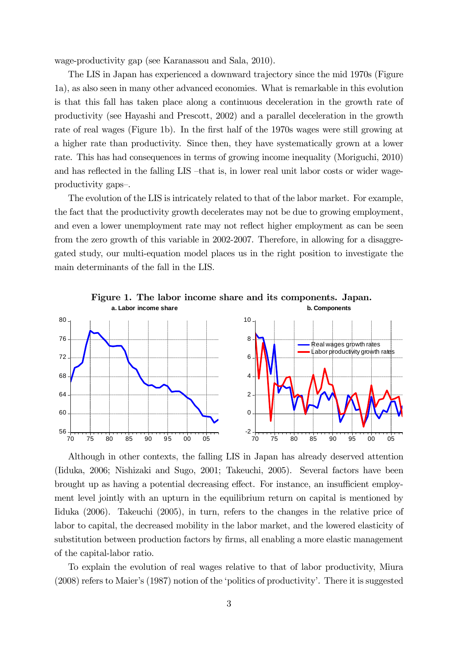wage-productivity gap (see Karanassou and Sala, 2010).

The LIS in Japan has experienced a downward trajectory since the mid 1970s (Figure 1a), as also seen in many other advanced economies. What is remarkable in this evolution is that this fall has taken place along a continuous deceleration in the growth rate of productivity (see Hayashi and Prescott, 2002) and a parallel deceleration in the growth rate of real wages (Figure 1b). In the first half of the 1970s wages were still growing at a higher rate than productivity. Since then, they have systematically grown at a lower rate. This has had consequences in terms of growing income inequality (Moriguchi, 2010) and has reflected in the falling LIS —that is, in lower real unit labor costs or wider wageproductivity gaps—.

The evolution of the LIS is intricately related to that of the labor market. For example, the fact that the productivity growth decelerates may not be due to growing employment, and even a lower unemployment rate may not reflect higher employment as can be seen from the zero growth of this variable in 2002-2007. Therefore, in allowing for a disaggregated study, our multi-equation model places us in the right position to investigate the main determinants of the fall in the LIS.



Although in other contexts, the falling LIS in Japan has already deserved attention (Iiduka, 2006; Nishizaki and Sugo, 2001; Takeuchi, 2005). Several factors have been brought up as having a potential decreasing effect. For instance, an insufficient employment level jointly with an upturn in the equilibrium return on capital is mentioned by Iiduka (2006). Takeuchi (2005), in turn, refers to the changes in the relative price of labor to capital, the decreased mobility in the labor market, and the lowered elasticity of substitution between production factors by firms, all enabling a more elastic management of the capital-labor ratio.

To explain the evolution of real wages relative to that of labor productivity, Miura (2008) refers to Maier's (1987) notion of the 'politics of productivity'. There it is suggested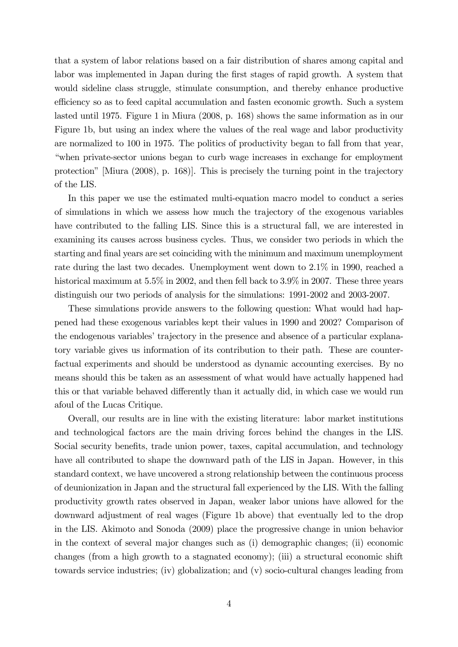that a system of labor relations based on a fair distribution of shares among capital and labor was implemented in Japan during the first stages of rapid growth. A system that would sideline class struggle, stimulate consumption, and thereby enhance productive efficiency so as to feed capital accumulation and fasten economic growth. Such a system lasted until 1975. Figure 1 in Miura (2008, p. 168) shows the same information as in our Figure 1b, but using an index where the values of the real wage and labor productivity are normalized to 100 in 1975. The politics of productivity began to fall from that year, "when private-sector unions began to curb wage increases in exchange for employment protection" [Miura (2008), p. 168)]. This is precisely the turning point in the trajectory of the LIS.

In this paper we use the estimated multi-equation macro model to conduct a series of simulations in which we assess how much the trajectory of the exogenous variables have contributed to the falling LIS. Since this is a structural fall, we are interested in examining its causes across business cycles. Thus, we consider two periods in which the starting and final years are set coinciding with the minimum and maximum unemployment rate during the last two decades. Unemployment went down to 2.1% in 1990, reached a historical maximum at 5.5% in 2002, and then fell back to 3.9% in 2007. These three years distinguish our two periods of analysis for the simulations: 1991-2002 and 2003-2007.

These simulations provide answers to the following question: What would had happened had these exogenous variables kept their values in 1990 and 2002? Comparison of the endogenous variables' trajectory in the presence and absence of a particular explanatory variable gives us information of its contribution to their path. These are counterfactual experiments and should be understood as dynamic accounting exercises. By no means should this be taken as an assessment of what would have actually happened had this or that variable behaved differently than it actually did, in which case we would run afoul of the Lucas Critique.

Overall, our results are in line with the existing literature: labor market institutions and technological factors are the main driving forces behind the changes in the LIS. Social security benefits, trade union power, taxes, capital accumulation, and technology have all contributed to shape the downward path of the LIS in Japan. However, in this standard context, we have uncovered a strong relationship between the continuous process of deunionization in Japan and the structural fall experienced by the LIS. With the falling productivity growth rates observed in Japan, weaker labor unions have allowed for the downward adjustment of real wages (Figure 1b above) that eventually led to the drop in the LIS. Akimoto and Sonoda (2009) place the progressive change in union behavior in the context of several major changes such as (i) demographic changes; (ii) economic changes (from a high growth to a stagnated economy); (iii) a structural economic shift towards service industries; (iv) globalization; and (v) socio-cultural changes leading from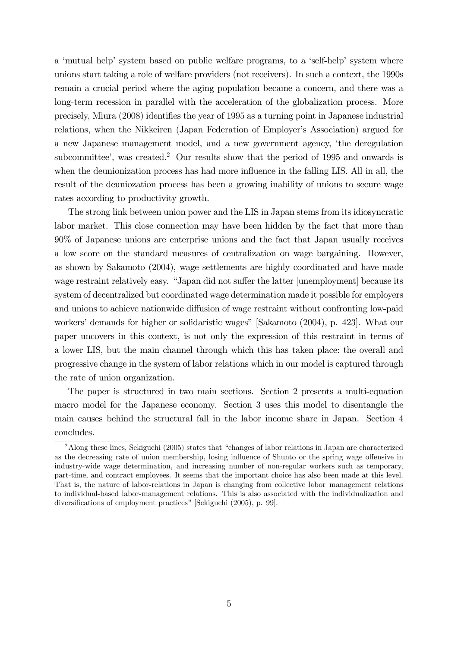a 'mutual help' system based on public welfare programs, to a 'self-help' system where unions start taking a role of welfare providers (not receivers). In such a context, the 1990s remain a crucial period where the aging population became a concern, and there was a long-term recession in parallel with the acceleration of the globalization process. More precisely, Miura (2008) identifies the year of 1995 as a turning point in Japanese industrial relations, when the Nikkeiren (Japan Federation of Employer's Association) argued for a new Japanese management model, and a new government agency, 'the deregulation subcommittee', was created.<sup>2</sup> Our results show that the period of 1995 and onwards is when the deunionization process has had more influence in the falling LIS. All in all, the result of the deuniozation process has been a growing inability of unions to secure wage rates according to productivity growth.

The strong link between union power and the LIS in Japan stems from its idiosyncratic labor market. This close connection may have been hidden by the fact that more than 90% of Japanese unions are enterprise unions and the fact that Japan usually receives a low score on the standard measures of centralization on wage bargaining. However, as shown by Sakamoto (2004), wage settlements are highly coordinated and have made wage restraint relatively easy. "Japan did not suffer the latter [unemployment] because its system of decentralized but coordinated wage determination made it possible for employers and unions to achieve nationwide diffusion of wage restraint without confronting low-paid workers' demands for higher or solidaristic wages" [Sakamoto (2004), p. 423]. What our paper uncovers in this context, is not only the expression of this restraint in terms of a lower LIS, but the main channel through which this has taken place: the overall and progressive change in the system of labor relations which in our model is captured through the rate of union organization.

The paper is structured in two main sections. Section 2 presents a multi-equation macro model for the Japanese economy. Section 3 uses this model to disentangle the main causes behind the structural fall in the labor income share in Japan. Section 4 concludes.

<sup>&</sup>lt;sup>2</sup> Along these lines, Sekiguchi (2005) states that "changes of labor relations in Japan are characterized as the decreasing rate of union membership, losing influence of Shunto or the spring wage offensive in industry-wide wage determination, and increasing number of non-regular workers such as temporary, part-time, and contract employees. It seems that the important choice has also been made at this level. That is, the nature of labor-relations in Japan is changing from collective labor—management relations to individual-based labor-management relations. This is also associated with the individualization and diversifications of employment practices" [Sekiguchi (2005), p. 99].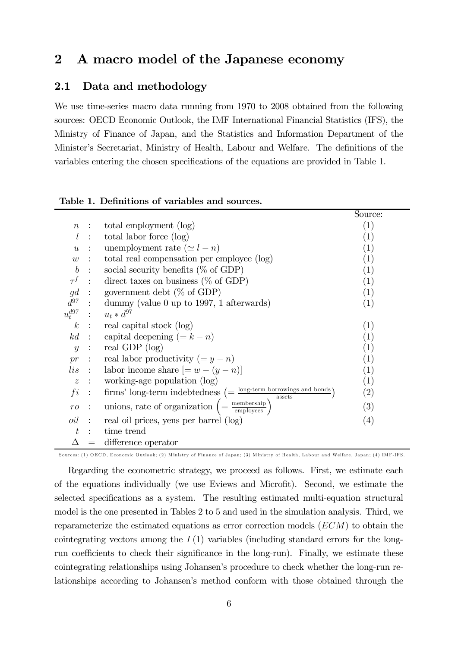# 2 A macro model of the Japanese economy

### 2.1 Data and methodology

We use time-series macro data running from 1970 to 2008 obtained from the following sources: OECD Economic Outlook, the IMF International Financial Statistics (IFS), the Ministry of Finance of Japan, and the Statistics and Information Department of the Minister's Secretariat, Ministry of Health, Labour and Welfare. The definitions of the variables entering the chosen specifications of the equations are provided in Table 1.

|                  |                      |                                                                                                                        | Source:           |
|------------------|----------------------|------------------------------------------------------------------------------------------------------------------------|-------------------|
| $\, n$           | $\mathbb{R}^2$       | total employment (log)                                                                                                 | $\left( 1\right)$ |
| $l_{\rm }$       | $\sim$ 1.            | total labor force (log)                                                                                                | (1)               |
| $\boldsymbol{u}$ | $\mathbb{R}^2$       | unemployment rate $(\simeq l - n)$                                                                                     | $\left( 1\right)$ |
| w                | $\ddot{\phantom{1}}$ | total real compensation per employee (log)                                                                             | (1)               |
| $\boldsymbol{b}$ | $\mathbb{R}^n$       | social security benefits $(\% \text{ of GDP})$                                                                         | (1)               |
| $\tau^f$         | $\sim 10^6$          | direct taxes on business ( $\%$ of GDP)                                                                                | (1)               |
|                  |                      | $gd$ : government debt (% of GDP)                                                                                      | (1)               |
|                  |                      | $d^{97}$ : dummy (value 0 up to 1997, 1 afterwards)                                                                    | (1)               |
|                  |                      | $u_t^{d97}$ : $u_t * d^{97}$                                                                                           |                   |
|                  |                      | $k$ : real capital stock (log)                                                                                         | (1)               |
|                  |                      | kd : capital deepening $(=k-n)$                                                                                        | (1)               |
| $\boldsymbol{y}$ | $\sim 100$           | real GDP $(log)$                                                                                                       | (1)               |
| pr               |                      | : real labor productivity $(=y-n)$                                                                                     | (1)               |
|                  |                      | <i>lis</i> : labor income share $[= w - (y - n)]$                                                                      | (1)               |
| $\boldsymbol{z}$ |                      | $\therefore$ working-age population (log)                                                                              | (1)               |
| fi               |                      | $\therefore$ firms' long-term indebtedness $\left(=\frac{\text{long-term borrowing and bonds}}{\text{asserts}}\right)$ | $\left( 2\right)$ |
| ro               |                      | unions, rate of organization $\left( = \frac{\text{membership}}{\text{employee}} \right)$                              | (3)               |
| oil              | $\mathbb{R}^2$       | real oil prices, yens per barrel (log)                                                                                 | $\left( 4\right)$ |
| t                | $\bullet$            | time trend                                                                                                             |                   |
|                  | $\!\!\!=\!\!\!$      | difference operator                                                                                                    |                   |

| Table 1. Definitions of variables and sources. |  |  |
|------------------------------------------------|--|--|
|------------------------------------------------|--|--|

Sources: (1) OECD, Economic Outlook; (2) Ministry of Finance of Japan; (3) Ministry of Health, Labour and Welfare, Japan; (4) IMF-IFS.

Regarding the econometric strategy, we proceed as follows. First, we estimate each of the equations individually (we use Eviews and Microfit). Second, we estimate the selected specifications as a system. The resulting estimated multi-equation structural model is the one presented in Tables 2 to 5 and used in the simulation analysis. Third, we reparameterize the estimated equations as error correction models  $(ECM)$  to obtain the cointegrating vectors among the  $I(1)$  variables (including standard errors for the longrun coefficients to check their significance in the long-run). Finally, we estimate these cointegrating relationships using Johansen's procedure to check whether the long-run relationships according to Johansen's method conform with those obtained through the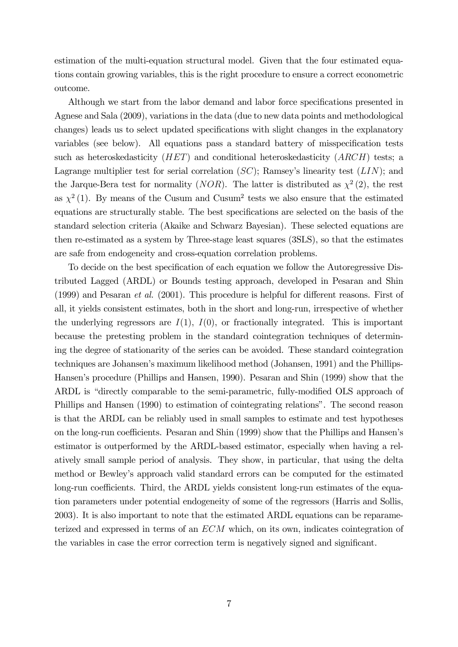estimation of the multi-equation structural model. Given that the four estimated equations contain growing variables, this is the right procedure to ensure a correct econometric outcome.

Although we start from the labor demand and labor force specifications presented in Agnese and Sala (2009), variations in the data (due to new data points and methodological changes) leads us to select updated specifications with slight changes in the explanatory variables (see below). All equations pass a standard battery of misspecification tests such as heteroskedasticity  $(HET)$  and conditional heteroskedasticity  $(ARCH)$  tests; a Lagrange multiplier test for serial correlation  $(SC)$ ; Ramsey's linearity test  $(LIN)$ ; and the Jarque-Bera test for normality (*NOR*). The latter is distributed as  $\chi^2$  (2), the rest as  $\chi^2$  (1). By means of the Cusum and Cusum<sup>2</sup> tests we also ensure that the estimated equations are structurally stable. The best specifications are selected on the basis of the standard selection criteria (Akaike and Schwarz Bayesian). These selected equations are then re-estimated as a system by Three-stage least squares (3SLS), so that the estimates are safe from endogeneity and cross-equation correlation problems.

To decide on the best specification of each equation we follow the Autoregressive Distributed Lagged (ARDL) or Bounds testing approach, developed in Pesaran and Shin (1999) and Pesaran et al. (2001). This procedure is helpful for different reasons. First of all, it yields consistent estimates, both in the short and long-run, irrespective of whether the underlying regressors are  $I(1)$ ,  $I(0)$ , or fractionally integrated. This is important because the pretesting problem in the standard cointegration techniques of determining the degree of stationarity of the series can be avoided. These standard cointegration techniques are Johansen's maximum likelihood method (Johansen, 1991) and the Phillips-Hansen's procedure (Phillips and Hansen, 1990). Pesaran and Shin (1999) show that the ARDL is "directly comparable to the semi-parametric, fully-modified OLS approach of Phillips and Hansen (1990) to estimation of cointegrating relations". The second reason is that the ARDL can be reliably used in small samples to estimate and test hypotheses on the long-run coefficients. Pesaran and Shin (1999) show that the Phillips and Hansen's estimator is outperformed by the ARDL-based estimator, especially when having a relatively small sample period of analysis. They show, in particular, that using the delta method or Bewley's approach valid standard errors can be computed for the estimated long-run coefficients. Third, the ARDL yields consistent long-run estimates of the equation parameters under potential endogeneity of some of the regressors (Harris and Sollis, 2003). It is also important to note that the estimated ARDL equations can be reparameterized and expressed in terms of an  $ECM$  which, on its own, indicates cointegration of the variables in case the error correction term is negatively signed and significant.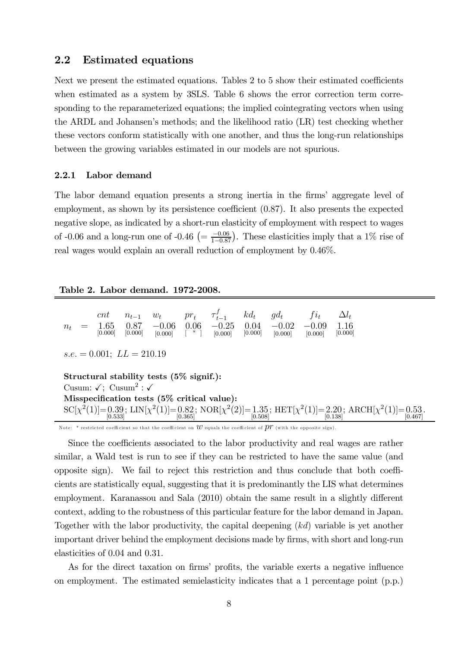### 2.2 Estimated equations

Next we present the estimated equations. Tables 2 to 5 show their estimated coefficients when estimated as a system by 3SLS. Table 6 shows the error correction term corresponding to the reparameterized equations; the implied cointegrating vectors when using the ARDL and Johansen's methods; and the likelihood ratio (LR) test checking whether these vectors conform statistically with one another, and thus the long-run relationships between the growing variables estimated in our models are not spurious.

#### 2.2.1 Labor demand

The labor demand equation presents a strong inertia in the firms' aggregate level of employment, as shown by its persistence coefficient (0.87). It also presents the expected negative slope, as indicated by a short-run elasticity of employment with respect to wages of -0.06 and a long-run one of -0.46  $\left(=\frac{-0.06}{1-0.87}\right)$ . These elasticities imply that a 1% rise of real wages would explain an overall reduction of employment by 0.46%.

| $n_{t}$                                                                                                     |                                                                                                                                                 | cnt<br>1.65<br>[0.000] | $n_{t-1}$<br>0.87<br>[0.000] | $w_t$ pr <sub>t</sub><br>$-0.06$<br>[0.000] | 0.06<br>$\begin{bmatrix} * & 1 \end{bmatrix}$ | $\tau^f_{t-1}$<br>$-0.25$<br>[0.000] | $k d_t$<br>0.04<br>[0.000] | $gd_t$<br>$-0.02$<br>[0.000] | $f_{i_t}$<br>$-0.09$<br>[0.000] | $\Delta l_t$<br>1.16<br>[0.000] |  |
|-------------------------------------------------------------------------------------------------------------|-------------------------------------------------------------------------------------------------------------------------------------------------|------------------------|------------------------------|---------------------------------------------|-----------------------------------------------|--------------------------------------|----------------------------|------------------------------|---------------------------------|---------------------------------|--|
|                                                                                                             | $s.e. = 0.001; L L = 210.19$                                                                                                                    |                        |                              |                                             |                                               |                                      |                            |                              |                                 |                                 |  |
| Structural stability tests $(5\% \text{ signif.})$ :<br>Cusum: $\sqrt{ }$ ; Cusum <sup>2</sup> : $\sqrt{ }$ |                                                                                                                                                 |                        |                              |                                             |                                               |                                      |                            |                              |                                 |                                 |  |
| Misspecification tests (5% critical value):                                                                 |                                                                                                                                                 |                        |                              |                                             |                                               |                                      |                            |                              |                                 |                                 |  |
|                                                                                                             | $SC[\chi^2(1)] = 0.39$ ; LIN $[\chi^2(1)] = 0.82$ ; NOR $[\chi^2(2)] = 1.35$ ; HET $[\chi^2(1)] = 2.20$ ; ARCH $[\chi^2(1)] = 0.53$ ; $[0.467]$ |                        |                              |                                             |                                               |                                      |                            |                              |                                 |                                 |  |

Note: \* restricted coefficient so that the coefficient on  $w$  equals the coefficient of  $\overline{\rho}r$  (with the opposite sign).

Since the coefficients associated to the labor productivity and real wages are rather similar, a Wald test is run to see if they can be restricted to have the same value (and opposite sign). We fail to reject this restriction and thus conclude that both coefficients are statistically equal, suggesting that it is predominantly the LIS what determines employment. Karanassou and Sala (2010) obtain the same result in a slightly different context, adding to the robustness of this particular feature for the labor demand in Japan. Together with the labor productivity, the capital deepening  $(kd)$  variable is yet another important driver behind the employment decisions made by firms, with short and long-run elasticities of 0.04 and 0.31.

As for the direct taxation on firms' profits, the variable exerts a negative influence on employment. The estimated semielasticity indicates that a 1 percentage point (p.p.)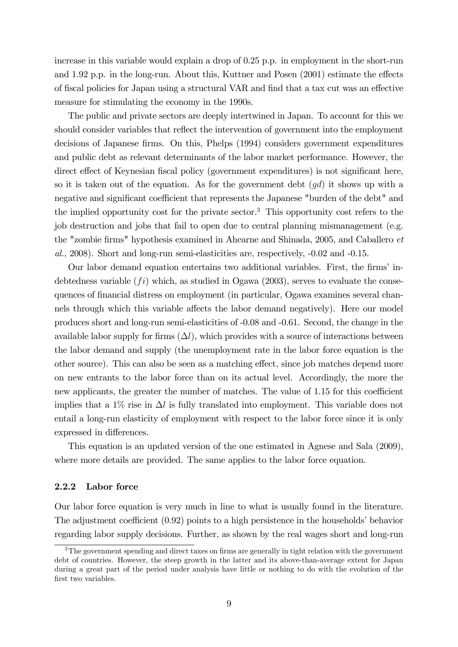increase in this variable would explain a drop of 0.25 p.p. in employment in the short-run and 1.92 p.p. in the long-run. About this, Kuttner and Posen (2001) estimate the effects of fiscal policies for Japan using a structural VAR and find that a tax cut was an effective measure for stimulating the economy in the 1990s.

The public and private sectors are deeply intertwined in Japan. To account for this we should consider variables that reflect the intervention of government into the employment decisions of Japanese firms. On this, Phelps (1994) considers government expenditures and public debt as relevant determinants of the labor market performance. However, the direct effect of Keynesian fiscal policy (government expenditures) is not significant here, so it is taken out of the equation. As for the government debt  $(gd)$  it shows up with a negative and significant coefficient that represents the Japanese "burden of the debt" and the implied opportunity cost for the private sector.<sup>3</sup> This opportunity cost refers to the job destruction and jobs that fail to open due to central planning mismanagement (e.g. the "zombie firms" hypothesis examined in Ahearne and Shinada, 2005, and Caballero et al., 2008). Short and long-run semi-elasticities are, respectively, -0.02 and -0.15.

Our labor demand equation entertains two additional variables. First, the firms' indebtedness variable  $(f_i)$  which, as studied in Ogawa (2003), serves to evaluate the consequences of financial distress on employment (in particular, Ogawa examines several channels through which this variable affects the labor demand negatively). Here our model produces short and long-run semi-elasticities of -0.08 and -0.61. Second, the change in the available labor supply for firms  $(\Delta l)$ , which provides with a source of interactions between the labor demand and supply (the unemployment rate in the labor force equation is the other source). This can also be seen as a matching effect, since job matches depend more on new entrants to the labor force than on its actual level. Accordingly, the more the new applicants, the greater the number of matches. The value of 1.15 for this coefficient implies that a 1% rise in  $\Delta l$  is fully translated into employment. This variable does not entail a long-run elasticity of employment with respect to the labor force since it is only expressed in differences.

This equation is an updated version of the one estimated in Agnese and Sala (2009), where more details are provided. The same applies to the labor force equation.

#### 2.2.2 Labor force

Our labor force equation is very much in line to what is usually found in the literature. The adjustment coefficient (0.92) points to a high persistence in the households' behavior regarding labor supply decisions. Further, as shown by the real wages short and long-run

<sup>3</sup>The government spending and direct taxes on firms are generally in tight relation with the government debt of countries. However, the steep growth in the latter and its above-than-average extent for Japan during a great part of the period under analysis have little or nothing to do with the evolution of the first two variables.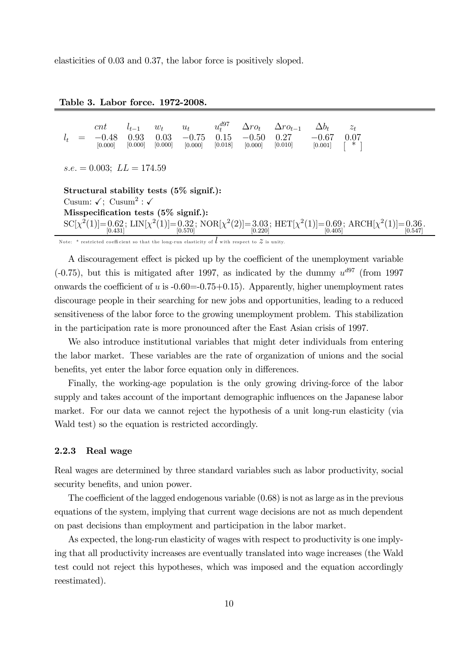elasticities of 0.03 and 0.37, the labor force is positively sloped.

#### Table 3. Labor force. 1972-2008.

|  |         |  |  | cnt $l_{t-1}$ $w_t$ $u_t$ $u_t^{d97}$ $\Delta ro_t$ $\Delta ro_{t-1}$ $\Delta b_t$ $z_t$                                              |  |
|--|---------|--|--|---------------------------------------------------------------------------------------------------------------------------------------|--|
|  | [0.000] |  |  | $l_t = -0.48$ 0.93 0.03 -0.75 0.15 -0.50 0.27 -0.67 0.07<br>$[0.000]$ $[0.000]$ $[0.000]$ $[0.018]$ $[0.000]$ $[0.001]$ $[0.001]$ $*$ |  |
|  |         |  |  |                                                                                                                                       |  |

 $s.e. = 0.003$ ;  $LL = 174.59$ 

Structural stability tests (5% signif.): Cusum:  $\sqrt{ }$ ; Cusum<sup>2</sup> :  $\sqrt{ }$ Misspecification tests (5% signif.):  $\mathrm{SC}[\chi^2(1)] = 0.62$ ; LIN $[\chi^2(1)] = 0.32$ ; NOR $[\chi^2(2)] = 3.03$ ; HET $[\chi^2(1)] = 0.69$ ; ARCH $[\chi^2(1)] = 0.36$ .<br> $[0.431]$ 

Note: \* restricted coefficient so that the long-run elasticity of  $l$  with respect to  $z$  is unity.

A discouragement effect is picked up by the coefficient of the unemployment variable (-0.75), but this is mitigated after 1997, as indicated by the dummy  $u^{d97}$  (from 1997) onwards the coefficient of  $u$  is  $-0.60=0.75+0.15$ ). Apparently, higher unemployment rates discourage people in their searching for new jobs and opportunities, leading to a reduced sensitiveness of the labor force to the growing unemployment problem. This stabilization in the participation rate is more pronounced after the East Asian crisis of 1997.

We also introduce institutional variables that might deter individuals from entering the labor market. These variables are the rate of organization of unions and the social benefits, yet enter the labor force equation only in differences.

Finally, the working-age population is the only growing driving-force of the labor supply and takes account of the important demographic influences on the Japanese labor market. For our data we cannot reject the hypothesis of a unit long-run elasticity (via Wald test) so the equation is restricted accordingly.

#### 2.2.3 Real wage

Real wages are determined by three standard variables such as labor productivity, social security benefits, and union power.

The coefficient of the lagged endogenous variable (0.68) is not as large as in the previous equations of the system, implying that current wage decisions are not as much dependent on past decisions than employment and participation in the labor market.

As expected, the long-run elasticity of wages with respect to productivity is one implying that all productivity increases are eventually translated into wage increases (the Wald test could not reject this hypotheses, which was imposed and the equation accordingly reestimated).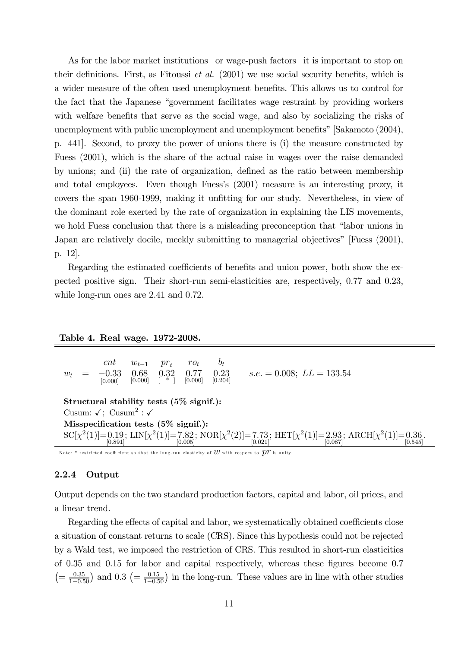As for the labor market institutions —or wage-push factors— it is important to stop on their definitions. First, as Fitoussi et al. (2001) we use social security benefits, which is a wider measure of the often used unemployment benefits. This allows us to control for the fact that the Japanese "government facilitates wage restraint by providing workers with welfare benefits that serve as the social wage, and also by socializing the risks of unemployment with public unemployment and unemployment benefits" [Sakamoto (2004), p. 441]. Second, to proxy the power of unions there is (i) the measure constructed by Fuess (2001), which is the share of the actual raise in wages over the raise demanded by unions; and (ii) the rate of organization, defined as the ratio between membership and total employees. Even though Fuess's (2001) measure is an interesting proxy, it covers the span 1960-1999, making it unfitting for our study. Nevertheless, in view of the dominant role exerted by the rate of organization in explaining the LIS movements, we hold Fuess conclusion that there is a misleading preconception that "labor unions in Japan are relatively docile, meekly submitting to managerial objectives" [Fuess (2001), p. 12].

Regarding the estimated coefficients of benefits and union power, both show the expected positive sign. Their short-run semi-elasticities are, respectively, 0.77 and 0.23, while long-run ones are 2.41 and 0.72.

#### Table 4. Real wage. 1972-2008.

| $w_t$                                                |                                                                                                                                                    | cnt<br>$-0.33$<br>[0.000] | $w_{t-1}$<br>0.68<br>$[0.000]$ $*$ | $pr_{t}$<br>0.32 | $r_{Ot}$<br>0.77<br>[0.000] | $\mathfrak{b}_t$<br>0.23<br>[0.204] | $s.e. = 0.008; \ LL = 133.54$ |  |  |  |  |
|------------------------------------------------------|----------------------------------------------------------------------------------------------------------------------------------------------------|---------------------------|------------------------------------|------------------|-----------------------------|-------------------------------------|-------------------------------|--|--|--|--|
| Structural stability tests $(5\% \text{ signif.})$ : |                                                                                                                                                    |                           |                                    |                  |                             |                                     |                               |  |  |  |  |
| Cusum: $\sqrt{ }$ ; Cusum <sup>2</sup> : $\sqrt{ }$  |                                                                                                                                                    |                           |                                    |                  |                             |                                     |                               |  |  |  |  |
| Misspecification tests $(5\% \text{ signif.})$ :     |                                                                                                                                                    |                           |                                    |                  |                             |                                     |                               |  |  |  |  |
|                                                      | $SC[\chi^2(1)] = 0.19$ ; LIN $[\chi^2(1)] = 7.82$ ; NOR $[\chi^2(2)] = 7.73$ ; HET $[\chi^2(1)] = 2.93$ ; ARCH $[\chi^2(1)] = 0.36$ .<br>$[0.891]$ |                           |                                    |                  |                             |                                     |                               |  |  |  |  |

Note: \* restricted coefficient so that the long-run elasticity of  $w$  with respect to  $pr$  is unity.

#### 2.2.4 Output

Output depends on the two standard production factors, capital and labor, oil prices, and a linear trend.

Regarding the effects of capital and labor, we systematically obtained coefficients close a situation of constant returns to scale (CRS). Since this hypothesis could not be rejected by a Wald test, we imposed the restriction of CRS. This resulted in short-run elasticities of 0.35 and 0.15 for labor and capital respectively, whereas these figures become 0.7  $(=\frac{0.35}{1-0.50})$  and  $0.3$   $(=\frac{0.15}{1-0.50})$  in the long-run. These values are in line with other studies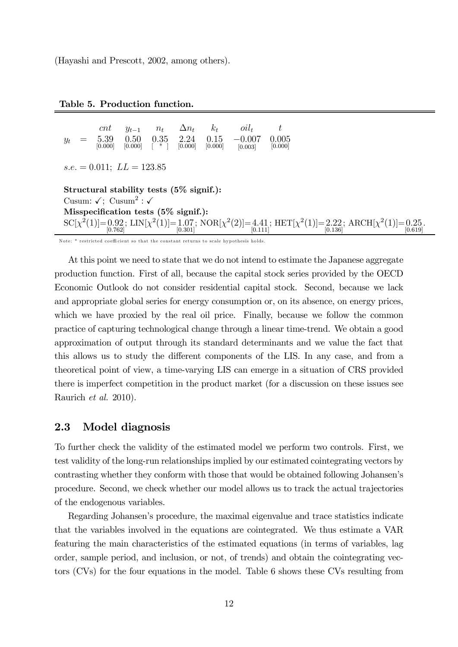(Hayashi and Prescott, 2002, among others).

 $\begin{array}{ccc} \n \text{cnt} & y_{t-1} & n_t & \Delta n_t & k_t & \text{oil}_t & t \\ \n \end{array}$  $y_t = 5.39$ [0.000] 0.50  $[0.000]$ 0.35 [ \* ] 224  $[0.000]$  $\frac{0.15}{0.000}$  $-0.007$  $[0.003]$ 0.005  $[0.000]$  $s.e. = 0.011;$   $LL = 123.85$ Structural stability tests (5% signif.): Cusum:  $\sqrt{ }$ ; Cusum<sup>2</sup> :  $\sqrt{ }$ Misspecification tests (5% signif.):  $SC[\chi^2(1)] = 0.92$ ;  $LIN[\chi^2(1)] = 1.07$ ;  $NOR[\chi^2(2)] = 4.41$ ;  $HET[\chi^2(1)] = 2.22$ ;  $ARCH[\chi^2(1)] = 0.25$ .<br>[0.19] [0.619]

Note: \* restricted coeffi cient so that the constant returns to scale hypothesis holds.

At this point we need to state that we do not intend to estimate the Japanese aggregate production function. First of all, because the capital stock series provided by the OECD Economic Outlook do not consider residential capital stock. Second, because we lack and appropriate global series for energy consumption or, on its absence, on energy prices, which we have proxied by the real oil price. Finally, because we follow the common practice of capturing technological change through a linear time-trend. We obtain a good approximation of output through its standard determinants and we value the fact that this allows us to study the different components of the LIS. In any case, and from a theoretical point of view, a time-varying LIS can emerge in a situation of CRS provided there is imperfect competition in the product market (for a discussion on these issues see Raurich et al. 2010).

#### 2.3 Model diagnosis

To further check the validity of the estimated model we perform two controls. First, we test validity of the long-run relationships implied by our estimated cointegrating vectors by contrasting whether they conform with those that would be obtained following Johansen's procedure. Second, we check whether our model allows us to track the actual trajectories of the endogenous variables.

Regarding Johansen's procedure, the maximal eigenvalue and trace statistics indicate that the variables involved in the equations are cointegrated. We thus estimate a VAR featuring the main characteristics of the estimated equations (in terms of variables, lag order, sample period, and inclusion, or not, of trends) and obtain the cointegrating vectors (CVs) for the four equations in the model. Table 6 shows these CVs resulting from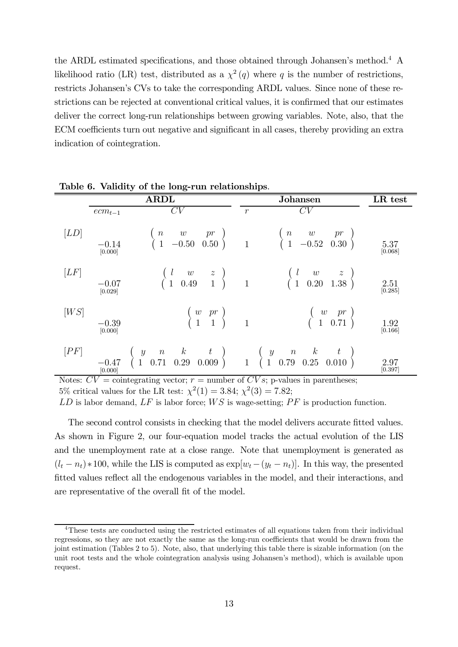the ARDL estimated specifications, and those obtained through Johansen's method.<sup>4</sup> A likelihood ratio (LR) test, distributed as a  $\chi^2(q)$  where q is the number of restrictions, restricts Johansen's CVs to take the corresponding ARDL values. Since none of these restrictions can be rejected at conventional critical values, it is confirmed that our estimates deliver the correct long-run relationships between growing variables. Note, also, that the ECM coefficients turn out negative and significant in all cases, thereby providing an extra indication of cointegration.

|      |                    | $\cdots$                                                                                                                                                                                                                            |                  |                                                                                                              |                 |
|------|--------------------|-------------------------------------------------------------------------------------------------------------------------------------------------------------------------------------------------------------------------------------|------------------|--------------------------------------------------------------------------------------------------------------|-----------------|
|      |                    | <b>ARDL</b>                                                                                                                                                                                                                         |                  | <b>Johansen</b>                                                                                              | LR test         |
|      | $ecm_{t-1}$        | $\overline{CV}$                                                                                                                                                                                                                     | $\boldsymbol{r}$ | CV                                                                                                           |                 |
| [LD] | $-0.14$<br>[0.000] | $\begin{array}{cc} (n & w & pr \\ (1 & -0.50 & 0.50 \end{array}$ 1                                                                                                                                                                  |                  | $\begin{pmatrix} n & w & pr \\ 1 & -0.52 & 0.30 \end{pmatrix}$                                               | 5.37<br>[0.068] |
| [LF] | $-0.07$<br>[0.029] | $\begin{array}{c} \left(\begin{array}{ccc} l & w & z \\ 1 & 0.49 & 1 \end{array}\right) & 1 \end{array}$                                                                                                                            |                  | $\begin{array}{cccc} \left( \begin{array}{ccc} l & w & z \\ 1 & 0.20 & 1.38 \end{array} \right) \end{array}$ | 2.51<br>[0.285] |
| [WS] | $-0.39$<br>[0.000] | $\left(\begin{array}{cc} w & pr \\ 1 & 1 \end{array}\right)$                                                                                                                                                                        | $\overline{1}$   | $\left(\begin{array}{cc} w & pr \\ 1 & 0.71 \end{array}\right)$                                              | 1.92<br>[0.166] |
| [PF] | $-0.47$<br>[0.000] | $\begin{array}{cccccc}\n\left( \begin{array}{cccccc}\n y & n & k & t \\ 1 & 0.71 & 0.29 & 0.009\n\end{array} \right) & \left( \begin{array}{cccccc}\n y & n & k & t \\ 1 & 0.79 & 0.25 & 0.010\n\end{array} \right) \\ \end{array}$ |                  |                                                                                                              | 2.97<br>[0.397] |

Table 6. Validity of the long-run relationships.

Notes:  $CV = \text{cointegrating vector}; r = \text{number of } CVs; \text{ p-values in parentheses};$ 5% critical values for the LR test:  $\chi^2(1) = 3.84$ ;  $\chi^2(3) = 7.82$ ;

 $LD$  is labor demand,  $LF$  is labor force;  $WS$  is wage-setting;  $PF$  is production function.

The second control consists in checking that the model delivers accurate fitted values. As shown in Figure 2, our four-equation model tracks the actual evolution of the LIS and the unemployment rate at a close range. Note that unemployment is generated as  $(l_t - n_t) * 100$ , while the LIS is computed as  $\exp[w_t - (y_t - n_t)]$ . In this way, the presented fitted values reflect all the endogenous variables in the model, and their interactions, and are representative of the overall fit of the model.

 $4$ These tests are conducted using the restricted estimates of all equations taken from their individual regressions, so they are not exactly the same as the long-run coefficients that would be drawn from the joint estimation (Tables 2 to 5). Note, also, that underlying this table there is sizable information (on the unit root tests and the whole cointegration analysis using Johansen's method), which is available upon request.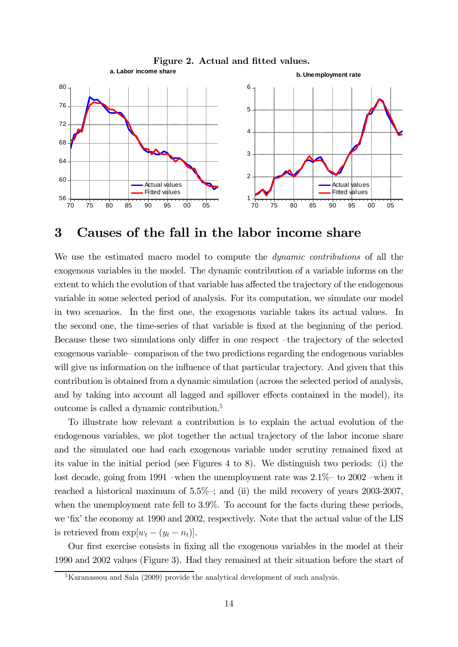

## 3 Causes of the fall in the labor income share

We use the estimated macro model to compute the dynamic contributions of all the exogenous variables in the model. The dynamic contribution of a variable informs on the extent to which the evolution of that variable has affected the trajectory of the endogenous variable in some selected period of analysis. For its computation, we simulate our model in two scenarios. In the first one, the exogenous variable takes its actual values. In the second one, the time-series of that variable is fixed at the beginning of the period. Because these two simulations only differ in one respect —the trajectory of the selected exogenous variable— comparison of the two predictions regarding the endogenous variables will give us information on the influence of that particular trajectory. And given that this contribution is obtained from a dynamic simulation (across the selected period of analysis, and by taking into account all lagged and spillover effects contained in the model), its outcome is called a dynamic contribution.5

To illustrate how relevant a contribution is to explain the actual evolution of the endogenous variables, we plot together the actual trajectory of the labor income share and the simulated one had each exogenous variable under scrutiny remained fixed at its value in the initial period (see Figures 4 to 8). We distinguish two periods: (i) the lost decade, going from 1991 —when the unemployment rate was 2.1%— to 2002 —when it reached a historical maximum of  $5.5\%$ ; and (ii) the mild recovery of years 2003-2007, when the unemployment rate fell to 3.9%. To account for the facts during these periods, we 'fix' the economy at 1990 and 2002, respectively. Note that the actual value of the LIS is retrieved from  $\exp[w_t - (y_t - n_t)].$ 

Our first exercise consists in fixing all the exogenous variables in the model at their 1990 and 2002 values (Figure 3). Had they remained at their situation before the start of

 $5$ Karanassou and Sala (2009) provide the analytical development of such analysis.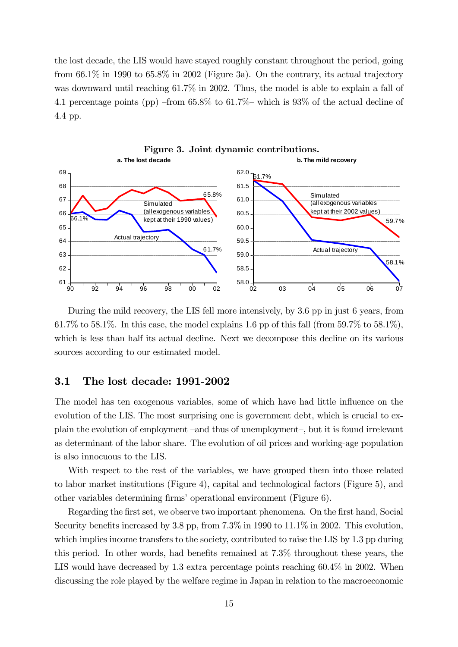the lost decade, the LIS would have stayed roughly constant throughout the period, going from 66.1% in 1990 to 65.8% in 2002 (Figure 3a). On the contrary, its actual trajectory was downward until reaching 61.7% in 2002. Thus, the model is able to explain a fall of 4.1 percentage points (pp) —from 65.8% to 61.7%— which is 93% of the actual decline of 4.4 pp.



During the mild recovery, the LIS fell more intensively, by 3.6 pp in just 6 years, from 61.7% to 58.1%. In this case, the model explains 1.6 pp of this fall (from 59.7% to 58.1%), which is less than half its actual decline. Next we decompose this decline on its various sources according to our estimated model.

#### 3.1 The lost decade: 1991-2002

The model has ten exogenous variables, some of which have had little influence on the evolution of the LIS. The most surprising one is government debt, which is crucial to explain the evolution of employment —and thus of unemployment—, but it is found irrelevant as determinant of the labor share. The evolution of oil prices and working-age population is also innocuous to the LIS.

With respect to the rest of the variables, we have grouped them into those related to labor market institutions (Figure 4), capital and technological factors (Figure 5), and other variables determining firms' operational environment (Figure 6).

Regarding the first set, we observe two important phenomena. On the first hand, Social Security benefits increased by 3.8 pp, from 7.3% in 1990 to 11.1% in 2002. This evolution, which implies income transfers to the society, contributed to raise the LIS by 1.3 pp during this period. In other words, had benefits remained at 7.3% throughout these years, the LIS would have decreased by 1.3 extra percentage points reaching 60.4% in 2002. When discussing the role played by the welfare regime in Japan in relation to the macroeconomic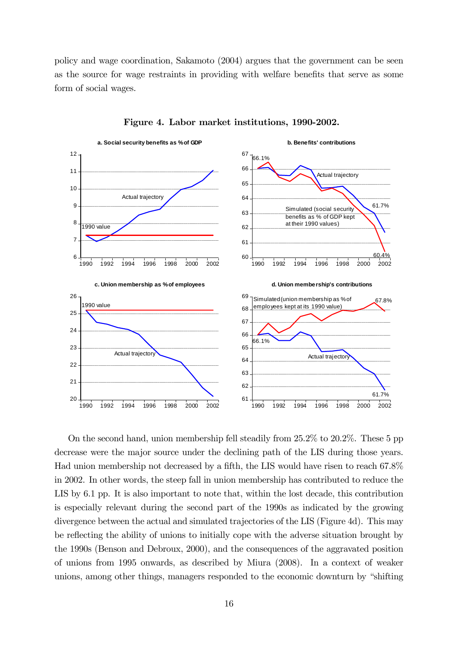policy and wage coordination, Sakamoto (2004) argues that the government can be seen as the source for wage restraints in providing with welfare benefits that serve as some form of social wages.



Figure 4. Labor market institutions, 1990-2002.

On the second hand, union membership fell steadily from 25.2% to 20.2%. These 5 pp decrease were the major source under the declining path of the LIS during those years. Had union membership not decreased by a fifth, the LIS would have risen to reach 67.8% in 2002. In other words, the steep fall in union membership has contributed to reduce the LIS by 6.1 pp. It is also important to note that, within the lost decade, this contribution is especially relevant during the second part of the 1990s as indicated by the growing divergence between the actual and simulated trajectories of the LIS (Figure 4d). This may be reflecting the ability of unions to initially cope with the adverse situation brought by the 1990s (Benson and Debroux, 2000), and the consequences of the aggravated position of unions from 1995 onwards, as described by Miura (2008). In a context of weaker unions, among other things, managers responded to the economic downturn by "shifting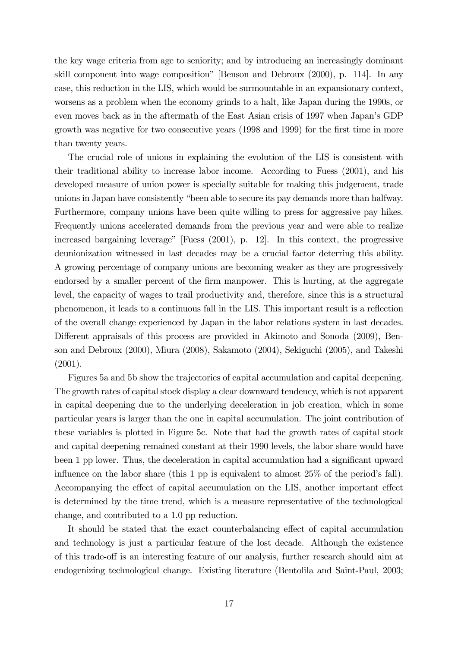the key wage criteria from age to seniority; and by introducing an increasingly dominant skill component into wage composition" [Benson and Debroux (2000), p. 114]. In any case, this reduction in the LIS, which would be surmountable in an expansionary context, worsens as a problem when the economy grinds to a halt, like Japan during the 1990s, or even moves back as in the aftermath of the East Asian crisis of 1997 when Japan's GDP growth was negative for two consecutive years (1998 and 1999) for the first time in more than twenty years.

The crucial role of unions in explaining the evolution of the LIS is consistent with their traditional ability to increase labor income. According to Fuess (2001), and his developed measure of union power is specially suitable for making this judgement, trade unions in Japan have consistently "been able to secure its pay demands more than halfway. Furthermore, company unions have been quite willing to press for aggressive pay hikes. Frequently unions accelerated demands from the previous year and were able to realize increased bargaining leverage" [Fuess (2001), p. 12]. In this context, the progressive deunionization witnessed in last decades may be a crucial factor deterring this ability. A growing percentage of company unions are becoming weaker as they are progressively endorsed by a smaller percent of the firm manpower. This is hurting, at the aggregate level, the capacity of wages to trail productivity and, therefore, since this is a structural phenomenon, it leads to a continuous fall in the LIS. This important result is a reflection of the overall change experienced by Japan in the labor relations system in last decades. Different appraisals of this process are provided in Akimoto and Sonoda (2009), Benson and Debroux (2000), Miura (2008), Sakamoto (2004), Sekiguchi (2005), and Takeshi (2001).

Figures 5a and 5b show the trajectories of capital accumulation and capital deepening. The growth rates of capital stock display a clear downward tendency, which is not apparent in capital deepening due to the underlying deceleration in job creation, which in some particular years is larger than the one in capital accumulation. The joint contribution of these variables is plotted in Figure 5c. Note that had the growth rates of capital stock and capital deepening remained constant at their 1990 levels, the labor share would have been 1 pp lower. Thus, the deceleration in capital accumulation had a significant upward influence on the labor share (this 1 pp is equivalent to almost 25% of the period's fall). Accompanying the effect of capital accumulation on the LIS, another important effect is determined by the time trend, which is a measure representative of the technological change, and contributed to a 1.0 pp reduction.

It should be stated that the exact counterbalancing effect of capital accumulation and technology is just a particular feature of the lost decade. Although the existence of this trade-off is an interesting feature of our analysis, further research should aim at endogenizing technological change. Existing literature (Bentolila and Saint-Paul, 2003;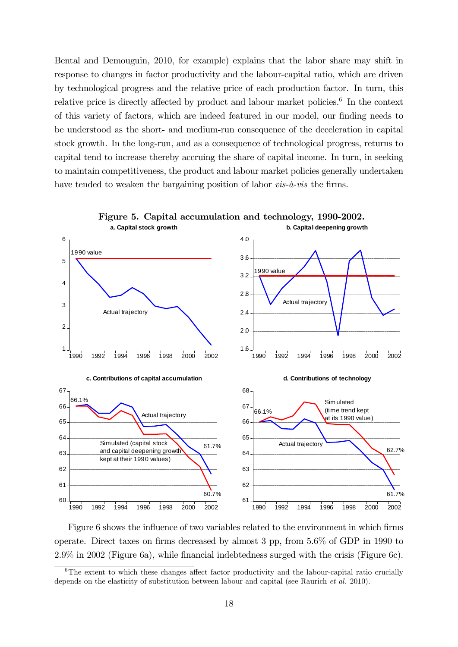Bental and Demouguin, 2010, for example) explains that the labor share may shift in response to changes in factor productivity and the labour-capital ratio, which are driven by technological progress and the relative price of each production factor. In turn, this relative price is directly affected by product and labour market policies.6 In the context of this variety of factors, which are indeed featured in our model, our finding needs to be understood as the short- and medium-run consequence of the deceleration in capital stock growth. In the long-run, and as a consequence of technological progress, returns to capital tend to increase thereby accruing the share of capital income. In turn, in seeking to maintain competitiveness, the product and labour market policies generally undertaken have tended to weaken the bargaining position of labor *vis-à-vis* the firms.



Figure 6 shows the influence of two variables related to the environment in which firms operate. Direct taxes on firms decreased by almost 3 pp, from 5.6% of GDP in 1990 to 2.9% in 2002 (Figure 6a), while financial indebtedness surged with the crisis (Figure 6c).

 $6$ The extent to which these changes affect factor productivity and the labour-capital ratio crucially depends on the elasticity of substitution between labour and capital (see Raurich et al. 2010).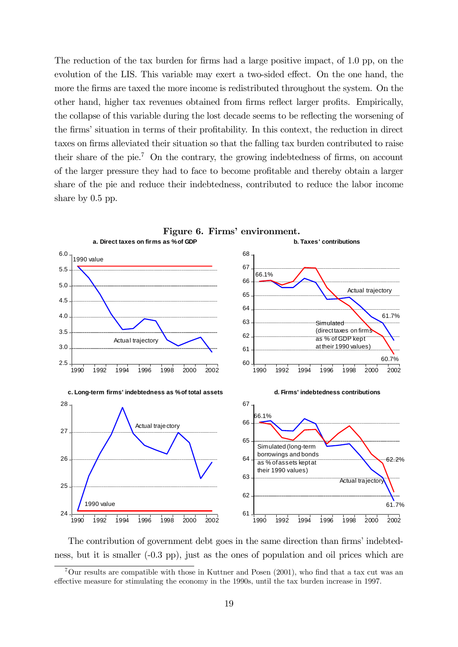The reduction of the tax burden for firms had a large positive impact, of 1.0 pp, on the evolution of the LIS. This variable may exert a two-sided effect. On the one hand, the more the firms are taxed the more income is redistributed throughout the system. On the other hand, higher tax revenues obtained from firms reflect larger profits. Empirically, the collapse of this variable during the lost decade seems to be reflecting the worsening of the firms' situation in terms of their profitability. In this context, the reduction in direct taxes on firms alleviated their situation so that the falling tax burden contributed to raise their share of the pie.<sup>7</sup> On the contrary, the growing indebtedness of firms, on account of the larger pressure they had to face to become profitable and thereby obtain a larger share of the pie and reduce their indebtedness, contributed to reduce the labor income share by 0.5 pp.



The contribution of government debt goes in the same direction than firms' indebtedness, but it is smaller (-0.3 pp), just as the ones of population and oil prices which are

<sup>7</sup>Our results are compatible with those in Kuttner and Posen (2001), who find that a tax cut was an effective measure for stimulating the economy in the 1990s, until the tax burden increase in 1997.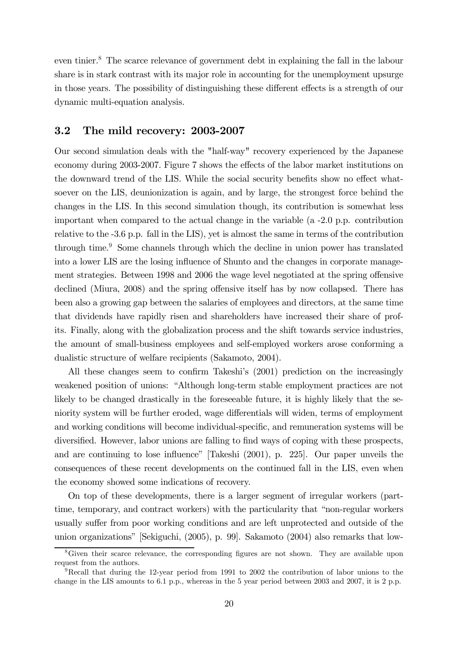even tinier.8 The scarce relevance of government debt in explaining the fall in the labour share is in stark contrast with its major role in accounting for the unemployment upsurge in those years. The possibility of distinguishing these different effects is a strength of our dynamic multi-equation analysis.

#### 3.2 The mild recovery: 2003-2007

Our second simulation deals with the "half-way" recovery experienced by the Japanese economy during 2003-2007. Figure 7 shows the effects of the labor market institutions on the downward trend of the LIS. While the social security benefits show no effect whatsoever on the LIS, deunionization is again, and by large, the strongest force behind the changes in the LIS. In this second simulation though, its contribution is somewhat less important when compared to the actual change in the variable (a -2.0 p.p. contribution relative to the -3.6 p.p. fall in the LIS), yet is almost the same in terms of the contribution through time.9 Some channels through which the decline in union power has translated into a lower LIS are the losing influence of Shunto and the changes in corporate management strategies. Between 1998 and 2006 the wage level negotiated at the spring offensive declined (Miura, 2008) and the spring offensive itself has by now collapsed. There has been also a growing gap between the salaries of employees and directors, at the same time that dividends have rapidly risen and shareholders have increased their share of profits. Finally, along with the globalization process and the shift towards service industries, the amount of small-business employees and self-employed workers arose conforming a dualistic structure of welfare recipients (Sakamoto, 2004).

All these changes seem to confirm Takeshi's (2001) prediction on the increasingly weakened position of unions: "Although long-term stable employment practices are not likely to be changed drastically in the foreseeable future, it is highly likely that the seniority system will be further eroded, wage differentials will widen, terms of employment and working conditions will become individual-specific, and remuneration systems will be diversified. However, labor unions are falling to find ways of coping with these prospects, and are continuing to lose influence" [Takeshi (2001), p. 225]. Our paper unveils the consequences of these recent developments on the continued fall in the LIS, even when the economy showed some indications of recovery.

On top of these developments, there is a larger segment of irregular workers (parttime, temporary, and contract workers) with the particularity that "non-regular workers usually suffer from poor working conditions and are left unprotected and outside of the union organizations" [Sekiguchi, (2005), p. 99]. Sakamoto (2004) also remarks that low-

<sup>&</sup>lt;sup>8</sup>Given their scarce relevance, the corresponding figures are not shown. They are available upon request from the authors.

<sup>9</sup>Recall that during the 12-year period from 1991 to 2002 the contribution of labor unions to the change in the LIS amounts to 6.1 p.p., whereas in the 5 year period between 2003 and 2007, it is 2 p.p.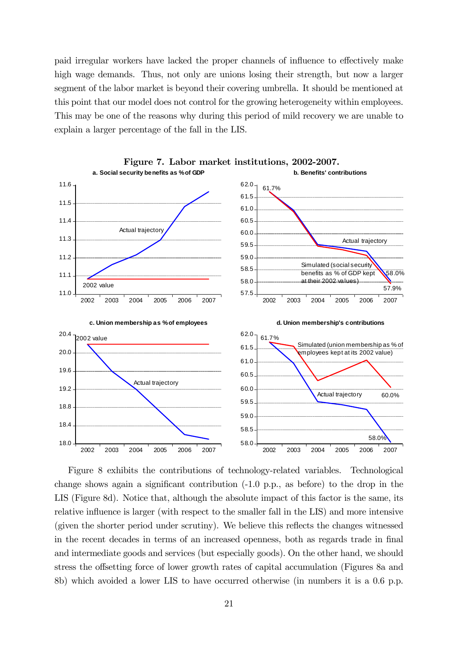paid irregular workers have lacked the proper channels of influence to effectively make high wage demands. Thus, not only are unions losing their strength, but now a larger segment of the labor market is beyond their covering umbrella. It should be mentioned at this point that our model does not control for the growing heterogeneity within employees. This may be one of the reasons why during this period of mild recovery we are unable to explain a larger percentage of the fall in the LIS.



Figure 8 exhibits the contributions of technology-related variables. Technological change shows again a significant contribution (-1.0 p.p., as before) to the drop in the LIS (Figure 8d). Notice that, although the absolute impact of this factor is the same, its relative influence is larger (with respect to the smaller fall in the LIS) and more intensive (given the shorter period under scrutiny). We believe this reflects the changes witnessed in the recent decades in terms of an increased openness, both as regards trade in final and intermediate goods and services (but especially goods). On the other hand, we should stress the offsetting force of lower growth rates of capital accumulation (Figures 8a and 8b) which avoided a lower LIS to have occurred otherwise (in numbers it is a 0.6 p.p.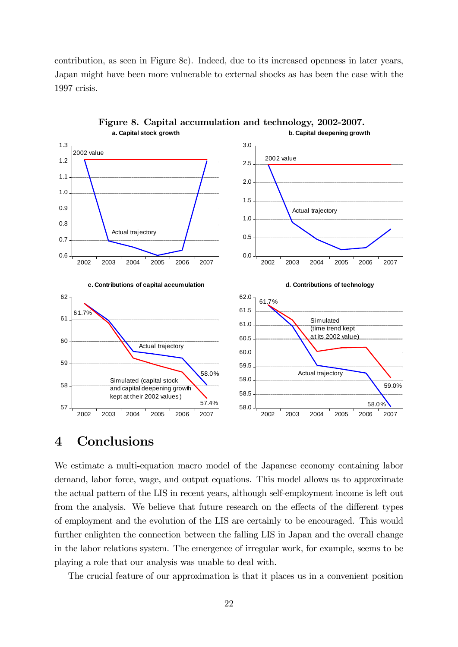contribution, as seen in Figure 8c). Indeed, due to its increased openness in later years, Japan might have been more vulnerable to external shocks as has been the case with the 1997 crisis.



Figure 8. Capital accumulation and technology, 2002-2007. **a. Capital stock growth b. Capital deepening growth**

## 4 Conclusions

We estimate a multi-equation macro model of the Japanese economy containing labor demand, labor force, wage, and output equations. This model allows us to approximate the actual pattern of the LIS in recent years, although self-employment income is left out from the analysis. We believe that future research on the effects of the different types of employment and the evolution of the LIS are certainly to be encouraged. This would further enlighten the connection between the falling LIS in Japan and the overall change in the labor relations system. The emergence of irregular work, for example, seems to be playing a role that our analysis was unable to deal with.

The crucial feature of our approximation is that it places us in a convenient position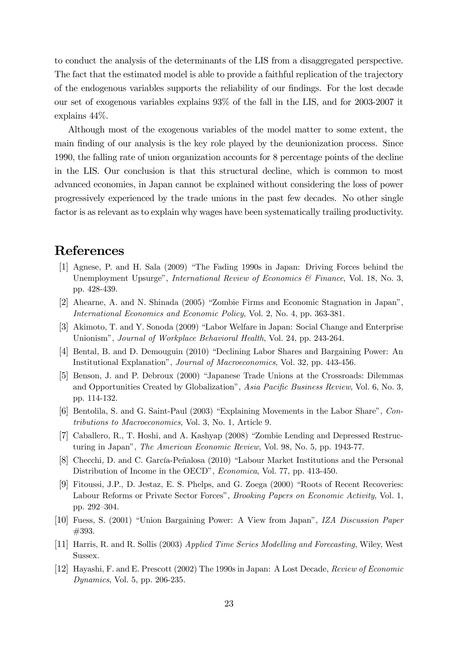to conduct the analysis of the determinants of the LIS from a disaggregated perspective. The fact that the estimated model is able to provide a faithful replication of the trajectory of the endogenous variables supports the reliability of our findings. For the lost decade our set of exogenous variables explains 93% of the fall in the LIS, and for 2003-2007 it explains 44%.

Although most of the exogenous variables of the model matter to some extent, the main finding of our analysis is the key role played by the deunionization process. Since 1990, the falling rate of union organization accounts for 8 percentage points of the decline in the LIS. Our conclusion is that this structural decline, which is common to most advanced economies, in Japan cannot be explained without considering the loss of power progressively experienced by the trade unions in the past few decades. No other single factor is as relevant as to explain why wages have been systematically trailing productivity.

# References

- [1] Agnese, P. and H. Sala (2009) "The Fading 1990s in Japan: Driving Forces behind the Unemployment Upsurge", *International Review of Economics & Finance*, Vol. 18, No. 3, pp. 428-439.
- [2] Ahearne, A. and N. Shinada (2005) "Zombie Firms and Economic Stagnation in Japan", International Economics and Economic Policy, Vol. 2, No. 4, pp. 363-381.
- [3] Akimoto, T. and Y. Sonoda (2009) "Labor Welfare in Japan: Social Change and Enterprise Unionism", *Journal of Workplace Behavioral Health*, Vol. 24, pp. 243-264.
- [4] Bental, B. and D. Demouguin (2010) "Declining Labor Shares and Bargaining Power: An Institutional Explanation", Journal of Macroeconomics, Vol. 32, pp. 443-456.
- [5] Benson, J. and P. Debroux (2000) "Japanese Trade Unions at the Crossroads: Dilemmas and Opportunities Created by Globalization", Asia Pacific Business Review, Vol. 6, No. 3, pp. 114-132.
- [6] Bentolila, S. and G. Saint-Paul (2003) "Explaining Movements in the Labor Share", Contributions to Macroeconomics, Vol. 3, No. 1, Article 9.
- [7] Caballero, R., T. Hoshi, and A. Kashyap (2008) "Zombie Lending and Depressed Restructuring in Japan", The American Economic Review, Vol. 98, No. 5, pp. 1943-77.
- [8] Checchi, D. and C. García-Peñalosa (2010) "Labour Market Institutions and the Personal Distribution of Income in the OECD", Economica, Vol. 77, pp. 413-450.
- [9] Fitoussi, J.P., D. Jestaz, E. S. Phelps, and G. Zoega (2000) "Roots of Recent Recoveries: Labour Reforms or Private Sector Forces", Brooking Papers on Economic Activity, Vol. 1, pp. 292—304.
- [10] Fuess, S. (2001) "Union Bargaining Power: A View from Japan", IZA Discussion Paper #393.
- [11] Harris, R. and R. Sollis (2003) Applied Time Series Modelling and Forecasting, Wiley, West Sussex.
- [12] Hayashi, F. and E. Prescott (2002) The 1990s in Japan: A Lost Decade, Review of Economic Dynamics, Vol. 5, pp. 206-235.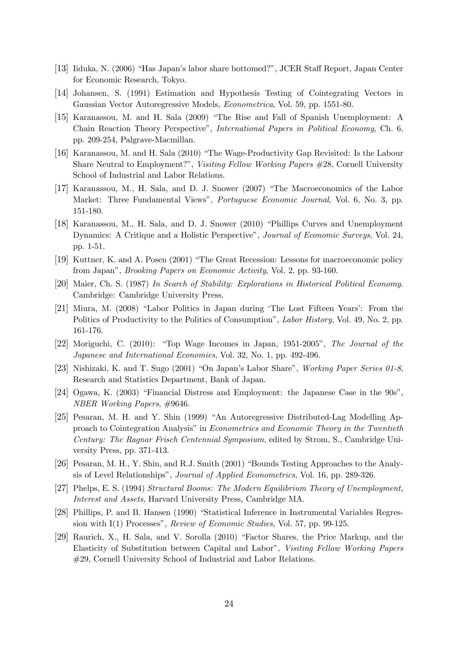- [13] Iiduka, N. (2006) "Has Japan's labor share bottomed?", JCER Staff Report, Japan Center for Economic Research, Tokyo.
- [14] Johansen, S. (1991) Estimation and Hypothesis Testing of Cointegrating Vectors in Gaussian Vector Autoregressive Models, Econometrica, Vol. 59, pp. 1551-80.
- [15] Karanassou, M. and H. Sala (2009) "The Rise and Fall of Spanish Unemployment: A Chain Reaction Theory Perspective", International Papers in Political Economy, Ch. 6, pp. 209-254, Palgrave-Macmillan.
- [16] Karanassou, M. and H. Sala (2010) "The Wage-Productivity Gap Revisited: Is the Labour Share Neutral to Employment?", Visiting Fellow Working Papers #28, Cornell University School of Industrial and Labor Relations.
- [17] Karanassou, M., H. Sala, and D. J. Snower (2007) "The Macroeconomics of the Labor Market: Three Fundamental Views", Portuguese Economic Journal, Vol. 6, No. 3, pp. 151-180.
- [18] Karanassou, M., H. Sala, and D. J. Snower (2010) "Phillips Curves and Unemployment Dynamics: A Critique and a Holistic Perspective", Journal of Economic Surveys, Vol. 24, pp. 1-51.
- [19] Kuttner, K. and A. Posen (2001) "The Great Recession: Lessons for macroeconomic policy from Japan", Brooking Papers on Economic Activity, Vol. 2, pp. 93-160.
- [20] Maier, Ch. S. (1987) In Search of Stability: Explorations in Historical Political Economy. Cambridge: Cambridge University Press.
- [21] Miura, M. (2008) "Labor Politics in Japan during 'The Lost Fifteen Years': From the Politics of Productivity to the Politics of Consumption", *Labor History*, Vol. 49, No. 2, pp. 161-176.
- [22] Moriguchi, C. (2010): "Top Wage Incomes in Japan, 1951-2005", The Journal of the Japanese and International Economies, Vol. 32, No. 1, pp. 492-496.
- [23] Nishizaki, K. and T. Sugo (2001) "On Japan's Labor Share", Working Paper Series 01-8, Research and Statistics Department, Bank of Japan.
- [24] Ogawa, K. (2003) "Financial Distress and Employment: the Japanese Case in the 90s", NBER Working Papers, #9646.
- [25] Pesaran, M. H. and Y. Shin (1999) "An Autoregressive Distributed-Lag Modelling Approach to Cointegration Analysis" in Econometrics and Economic Theory in the Twentieth Century: The Ragnar Frisch Centennial Symposium, edited by Strom, S., Cambridge University Press, pp. 371-413.
- [26] Pesaran, M. H., Y. Shin, and R.J. Smith (2001) "Bounds Testing Approaches to the Analysis of Level Relationships", Journal of Applied Econometrics, Vol. 16, pp. 289-326.
- [27] Phelps, E. S. (1994) Structural Booms: The Modern Equilibrium Theory of Unemployment, Interest and Assets, Harvard University Press, Cambridge MA.
- [28] Phillips, P. and B. Hansen (1990) "Statistical Inference in Instrumental Variables Regression with I(1) Processes", Review of Economic Studies, Vol. 57, pp. 99-125.
- [29] Raurich, X., H. Sala, and V. Sorolla (2010) "Factor Shares, the Price Markup, and the Elasticity of Substitution between Capital and Labor", Visiting Fellow Working Papers #29, Cornell University School of Industrial and Labor Relations.